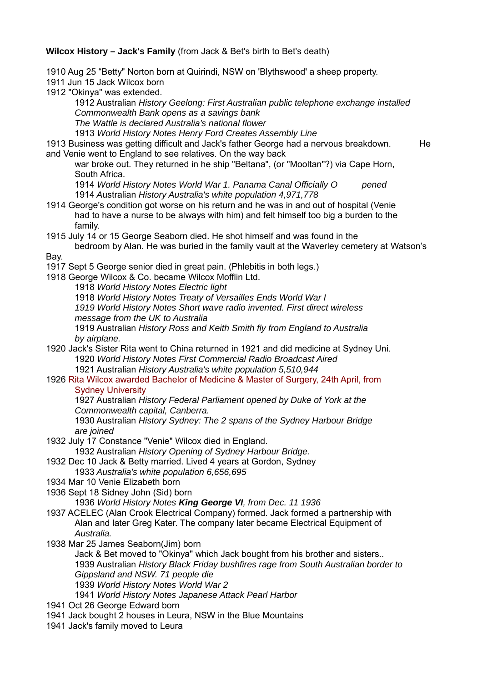**Wilcox History – Jack's Family** (from Jack & Bet's birth to Bet's death)

1910 Aug 25 "Betty" Norton born at Quirindi, NSW on 'Blythswood' a sheep property.

1911 Jun 15 Jack Wilcox born

1912 "Okinya" was extended.

1912 Australian *History Geelong: First Australian public telephone exchange installed Commonwealth Bank opens as a savings bank*

*The Wattle is declared Australia's national flower*

1913 *World History Notes Henry Ford Creates Assembly Line*

1913 Business was getting difficult and Jack's father George had a nervous breakdown. He and Venie went to England to see relatives. On the way back

war broke out. They returned in he ship "Beltana", (or "Mooltan"?) via Cape Horn, South Africa.

1914 *World History Notes World War 1. Panama Canal Officially O pened* 1914 *A*ustralian *History Australia's white population 4,971,778*

1914 George's condition got worse on his return and he was in and out of hospital (Venie had to have a nurse to be always with him) and felt himself too big a burden to the family.

1915 July 14 or 15 George Seaborn died. He shot himself and was found in the

bedroom by Alan. He was buried in the family vault at the Waverley cemetery at Watson's Bay.

1917 Sept 5 George senior died in great pain. (Phlebitis in both legs.)

1918 George Wilcox & Co. became Wilcox Mofflin Ltd.

1918 *World History Notes Electric light*

1918 *World History Notes Treaty of Versailles Ends World War I*

*1919 World History Notes Short wave radio invented. First direct wireless message from the UK to Australia*

1919 Australian *History Ross and Keith Smith fly from England to Australia by airplane.*

## 1920 Jack's Sister Rita went to China returned in 1921 and did medicine at Sydney Uni. 1920 *World History Notes First Commercial Radio Broadcast Aired*

1921 Australian *History Australia's white population 5,510,944*

## 1926 Rita Wilcox awarded Bachelor of Medicine & Master of Surgery, 24th April, from Sydney University

1927 Australian *History Federal Parliament opened by Duke of York at the Commonwealth capital, Canberra.*

1930 Australian *History Sydney: The 2 spans of the Sydney Harbour Bridge are joined*

1932 July 17 Constance "Venie" Wilcox died in England.

1932 Australian *History Opening of Sydney Harbour Bridge.*

1932 Dec 10 Jack & Betty married. Lived 4 years at Gordon, Sydney

1933 *Australia's white population 6,656,695*

1934 Mar 10 Venie Elizabeth born

1936 Sept 18 Sidney John (Sid) born

1936 *World History Notes King George VI, from Dec. 11 1936*

- 1937 ACELEC (Alan Crook Electrical Company) formed. Jack formed a partnership with Alan and later Greg Kater. The company later became Electrical Equipment of *Australia.*
- 1938 Mar 25 James Seaborn(Jim) born

Jack & Bet moved to "Okinya" which Jack bought from his brother and sisters.. 1939 Australian *History Black Friday bushfires rage from South Australian border to Gippsland and NSW. 71 people die*

- 1939 *World History Notes World War 2*
- 1941 *World History Notes Japanese Attack Pearl Harbor*
- 1941 Oct 26 George Edward born
- 1941 Jack bought 2 houses in Leura, NSW in the Blue Mountains
- 1941 Jack's family moved to Leura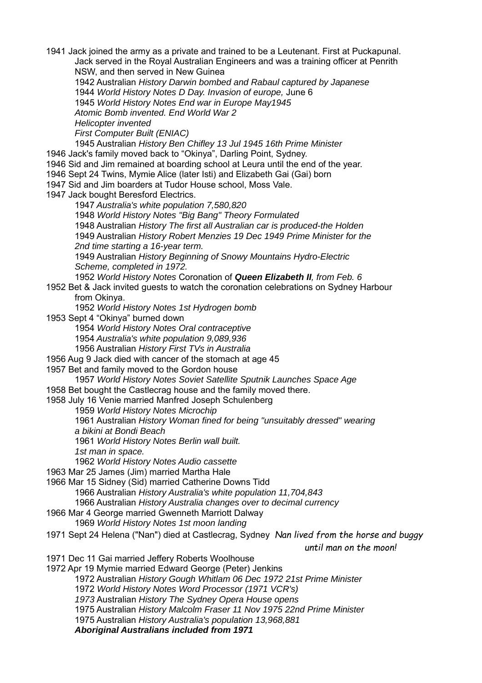1941 Jack joined the army as a private and trained to be a Leutenant. First at Puckapunal. Jack served in the Royal Australian Engineers and was a training officer at Penrith NSW, and then served in New Guinea 1942 Australian *History Darwin bombed and Rabaul captured by Japanese* 1944 *World History Notes D Day. Invasion of europe,* June 6 1945 *World History Notes End war in Europe May1945 Atomic Bomb invented. End World War 2 Helicopter invented First Computer Built (ENIAC)* 1945 Australian *History Ben Chifley 13 Jul 1945 16th Prime Minister*

1946 Jack's family moved back to "Okinya", Darling Point, Sydney.

1946 Sid and Jim remained at boarding school at Leura until the end of the year.

1946 Sept 24 Twins, Mymie Alice (later Isti) and Elizabeth Gai (Gai) born

1947 Sid and Jim boarders at Tudor House school, Moss Vale.

1947 Jack bought Beresford Electrics.

1947 *Australia's white population 7,580,820*

1948 *World History Notes "Big Bang" Theory Formulated*

1948 Australian *History The first all Australian car is produced-the Holden*

1949 Australian *History Robert Menzies 19 Dec 1949 Prime Minister for the 2nd time starting a 16-year term.*

1949 Australian *History Beginning of Snowy Mountains Hydro-Electric Scheme, completed in 1972.*

1952 *World History Notes* Coronation of *Queen Elizabeth II, from Feb. 6* 1952 Bet & Jack invited guests to watch the coronation celebrations on Sydney Harbour

from Okinya.

1952 *World History Notes 1st Hydrogen bomb*

1953 Sept 4 "Okinya" burned down

1954 *World History Notes Oral contraceptive*

1954 *Australia's white population 9,089,936*

1956 Australian *History First TVs in Australia*

1956 Aug 9 Jack died with cancer of the stomach at age 45

1957 Bet and family moved to the Gordon house

1957 *World History Notes Soviet Satellite Sputnik Launches Space Age*

1958 Bet bought the Castlecrag house and the family moved there.

1958 July 16 Venie married Manfred Joseph Schulenberg

1959 *World History Notes Microchip*

1961 Australian *History Woman fined for being "unsuitably dressed" wearing a bikini at Bondi Beach*

1961 *World History Notes Berlin wall built.*

*1st man in space.*

1962 *World History Notes Audio cassette*

1963 Mar 25 James (Jim) married Martha Hale

1966 Mar 15 Sidney (Sid) married Catherine Downs Tidd

1966 Australian *History Australia's white population 11,704,843*

1966 Australian *History Australia changes over to decimal currency*

1966 Mar 4 George married Gwenneth Marriott Dalway

1969 *World History Notes 1st moon landing*

1971 Sept 24 Helena ("Nan") died at Castlecrag, Sydney *Nan lived from the horse and buggy* 

*until man on the moon!*

1971 Dec 11 Gai married Jeffery Roberts Woolhouse

1972 Apr 19 Mymie married Edward George (Peter) Jenkins

1972 Australian *History Gough Whitlam 06 Dec 1972 21st Prime Minister*

1972 *World History Notes Word Processor (1971 VCR's)*

*1973* Australian *History The Sydney Opera House opens*

1975 Australian *History Malcolm Fraser 11 Nov 1975 22nd Prime Minister*

1975 Australian *History Australia's population 13,968,881*

*Aboriginal Australians included from 1971*